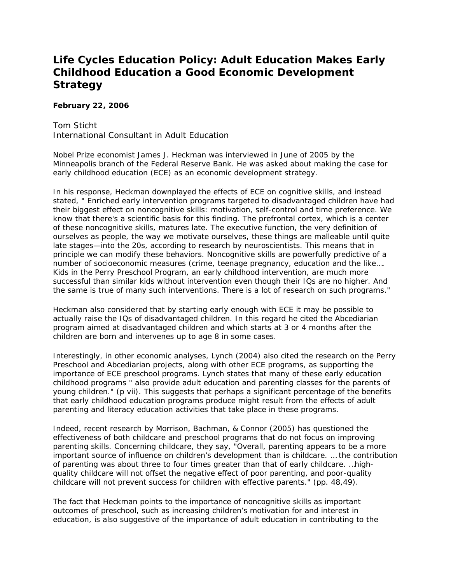## **Life Cycles Education Policy: Adult Education Makes Early Childhood Education a Good Economic Development Strategy**

## **February 22, 2006**

Tom Sticht International Consultant in Adult Education

Nobel Prize economist James J. Heckman was interviewed in June of 2005 by the Minneapolis branch of the Federal Reserve Bank. He was asked about making the case for early childhood education (ECE) as an economic development strategy.

In his response, Heckman downplayed the effects of ECE on cognitive skills, and instead stated, " Enriched early intervention programs targeted to disadvantaged children have had their biggest effect on noncognitive skills: motivation, self-control and time preference. We know that there's a scientific basis for this finding. The prefrontal cortex, which is a center of these noncognitive skills, matures late. The executive function, the very definition of ourselves as people, the way we motivate ourselves, these things are malleable until quite late stages—into the 20s, according to research by neuroscientists. This means that in principle we can modify these behaviors. Noncognitive skills are powerfully predictive of a number of socioeconomic measures (crime, teenage pregnancy, education and the like…. Kids in the Perry Preschool Program, an early childhood intervention, are much more successful than similar kids without intervention even though their IQs are no higher. And the same is true of many such interventions. There is a lot of research on such programs."

Heckman also considered that by starting early enough with ECE it may be possible to actually raise the IQs of disadvantaged children. In this regard he cited the Abcediarian program aimed at disadvantaged children and which starts at 3 or 4 months after the children are born and intervenes up to age 8 in some cases.

Interestingly, in other economic analyses, Lynch (2004) also cited the research on the Perry Preschool and Abcediarian projects, along with other ECE programs, as supporting the importance of ECE preschool programs. Lynch states that many of these early education childhood programs " also provide adult education and parenting classes for the parents of young children." (p vii). This suggests that perhaps a significant percentage of the benefits that early childhood education programs produce might result from the effects of adult parenting and literacy education activities that take place in these programs.

Indeed, recent research by Morrison, Bachman, & Connor (2005) has questioned the effectiveness of both childcare and preschool programs that do not focus on improving parenting skills. Concerning childcare, they say, "Overall, parenting appears to be a more important source of influence on children's development than is childcare. … the contribution of parenting was about three to four times greater than that of early childcare. …highquality childcare will not offset the negative effect of poor parenting, and poor-quality childcare will not prevent success for children with effective parents." (pp. 48,49).

The fact that Heckman points to the importance of noncognitive skills as important outcomes of preschool, such as increasing children's motivation for and interest in education, is also suggestive of the importance of adult education in contributing to the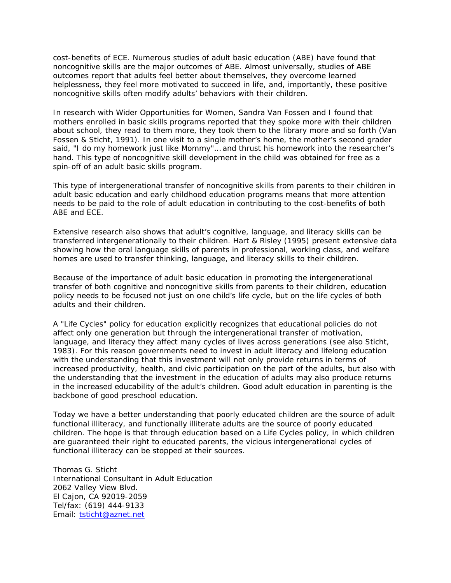cost-benefits of ECE. Numerous studies of adult basic education (ABE) have found that noncognitive skills are the major outcomes of ABE. Almost universally, studies of ABE outcomes report that adults feel better about themselves, they overcome learned helplessness, they feel more motivated to succeed in life, and, importantly, these positive noncognitive skills often modify adults' behaviors with their children.

In research with Wider Opportunities for Women, Sandra Van Fossen and I found that mothers enrolled in basic skills programs reported that they spoke more with their children about school, they read to them more, they took them to the library more and so forth (Van Fossen & Sticht, 1991). In one visit to a single mother's home, the mother's second grader said, "I do my homework just like Mommy"… and thrust his homework into the researcher's hand. This type of noncognitive skill development in the child was obtained for free as a spin-off of an adult basic skills program.

This type of intergenerational transfer of noncognitive skills from parents to their children in adult basic education and early childhood education programs means that more attention needs to be paid to the role of adult education in contributing to the cost-benefits of both ABE and ECE.

Extensive research also shows that adult's cognitive, language, and literacy skills can be transferred intergenerationally to their children. Hart & Risley (1995) present extensive data showing how the oral language skills of parents in professional, working class, and welfare homes are used to transfer thinking, language, and literacy skills to their children.

Because of the importance of adult basic education in promoting the intergenerational transfer of both cognitive and noncognitive skills from parents to their children, education policy needs to be focused not just on one child's life cycle, but on the life cycles of both adults and their children.

A "Life Cycles" policy for education explicitly recognizes that educational policies do not affect only one generation but through the intergenerational transfer of motivation, language, and literacy they affect many cycles of lives across generations (see also Sticht, 1983). For this reason governments need to invest in adult literacy and lifelong education with the understanding that this investment will not only provide returns in terms of increased productivity, health, and civic participation on the part of the adults, but also with the understanding that the investment in the education of adults may also produce returns in the increased educability of the adult's children. Good adult education in parenting is the backbone of good preschool education.

Today we have a better understanding that poorly educated children are the source of adult functional illiteracy, and functionally illiterate adults are the source of poorly educated children. The hope is that through education based on a Life Cycles policy, in which children are guaranteed their right to educated parents, the vicious intergenerational cycles of functional illiteracy can be stopped at their sources.

Thomas G. Sticht International Consultant in Adult Education 2062 Valley View Blvd. El Cajon, CA 92019-2059 Tel/fax: (619) 444-9133 Email: [tsticht@aznet.net](mailto:tsticht@aznet.net)